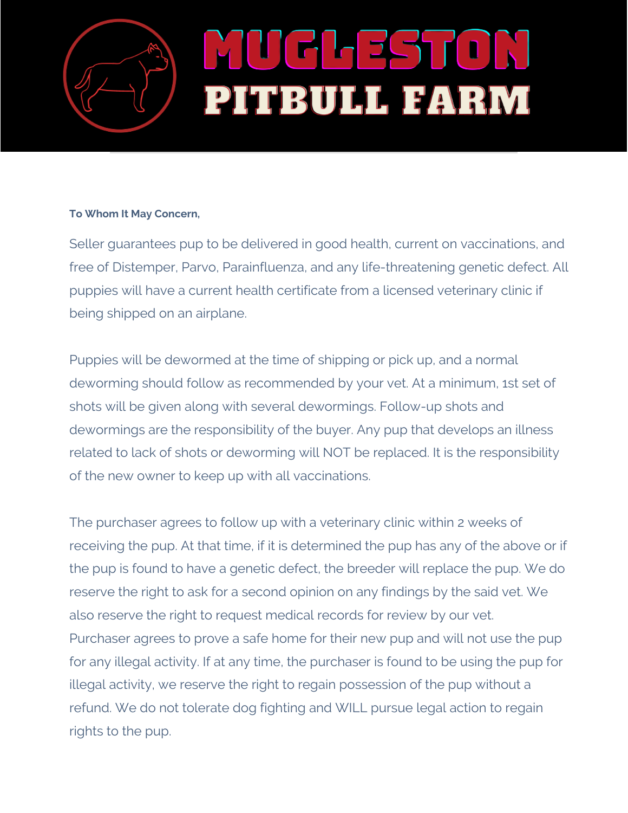

## **To Whom It May Concern,**

Seller guarantees pup to be delivered in good health, current on vaccinations, and free of Distemper, Parvo, Parainfluenza, and any life-threatening genetic defect. All puppies will have a current health certificate from a licensed veterinary clinic if being shipped on an airplane.

Puppies will be dewormed at the time of shipping or pick up, and a normal deworming should follow as recommended by your vet. At a minimum, 1st set of shots will be given along with several dewormings. Follow-up shots and dewormings are the responsibility of the buyer. Any pup that develops an illness related to lack of shots or deworming will NOT be replaced. It is the responsibility of the new owner to keep up with all vaccinations.

The purchaser agrees to follow up with a veterinary clinic within 2 weeks of receiving the pup. At that time, if it is determined the pup has any of the above or if the pup is found to have a genetic defect, the breeder will replace the pup. We do reserve the right to ask for a second opinion on any findings by the said vet. We also reserve the right to request medical records for review by our vet. Purchaser agrees to prove a safe home for their new pup and will not use the pup for any illegal activity. If at any time, the purchaser is found to be using the pup for illegal activity, we reserve the right to regain possession of the pup without a refund. We do not tolerate dog fighting and WILL pursue legal action to regain rights to the pup.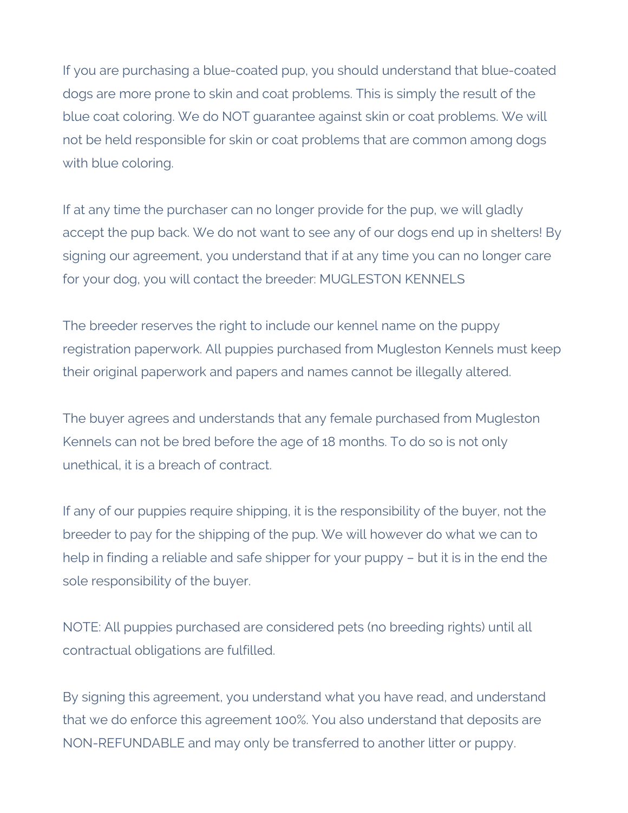If you are purchasing a blue-coated pup, you should understand that blue-coated dogs are more prone to skin and coat problems. This is simply the result of the blue coat coloring. We do NOT guarantee against skin or coat problems. We will not be held responsible for skin or coat problems that are common among dogs with blue coloring.

If at any time the purchaser can no longer provide for the pup, we will gladly accept the pup back. We do not want to see any of our dogs end up in shelters! By signing our agreement, you understand that if at any time you can no longer care for your dog, you will contact the breeder: MUGLESTON KENNELS

The breeder reserves the right to include our kennel name on the puppy registration paperwork. All puppies purchased from Mugleston Kennels must keep their original paperwork and papers and names cannot be illegally altered.

The buyer agrees and understands that any female purchased from Mugleston Kennels can not be bred before the age of 18 months. To do so is not only unethical, it is a breach of contract.

If any of our puppies require shipping, it is the responsibility of the buyer, not the breeder to pay for the shipping of the pup. We will however do what we can to help in finding a reliable and safe shipper for your puppy – but it is in the end the sole responsibility of the buyer.

NOTE: All puppies purchased are considered pets (no breeding rights) until all contractual obligations are fulfilled.

By signing this agreement, you understand what you have read, and understand that we do enforce this agreement 100%. You also understand that deposits are NON-REFUNDABLE and may only be transferred to another litter or puppy.